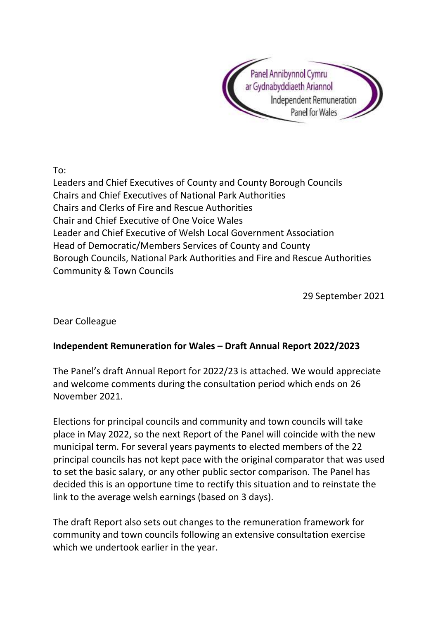

To:

Leaders and Chief Executives of County and County Borough Councils Chairs and Chief Executives of National Park Authorities Chairs and Clerks of Fire and Rescue Authorities Chair and Chief Executive of One Voice Wales Leader and Chief Executive of Welsh Local Government Association Head of Democratic/Members Services of County and County Borough Councils, National Park Authorities and Fire and Rescue Authorities Community & Town Councils

29 September 2021

Dear Colleague

## **Independent Remuneration for Wales – Draft Annual Report 2022/2023**

The Panel's draft Annual Report for 2022/23 is attached. We would appreciate and welcome comments during the consultation period which ends on 26 November 2021.

Elections for principal councils and community and town councils will take place in May 2022, so the next Report of the Panel will coincide with the new municipal term. For several years payments to elected members of the 22 principal councils has not kept pace with the original comparator that was used to set the basic salary, or any other public sector comparison. The Panel has decided this is an opportune time to rectify this situation and to reinstate the link to the average welsh earnings (based on 3 days).

The draft Report also sets out changes to the remuneration framework for community and town councils following an extensive consultation exercise which we undertook earlier in the year.